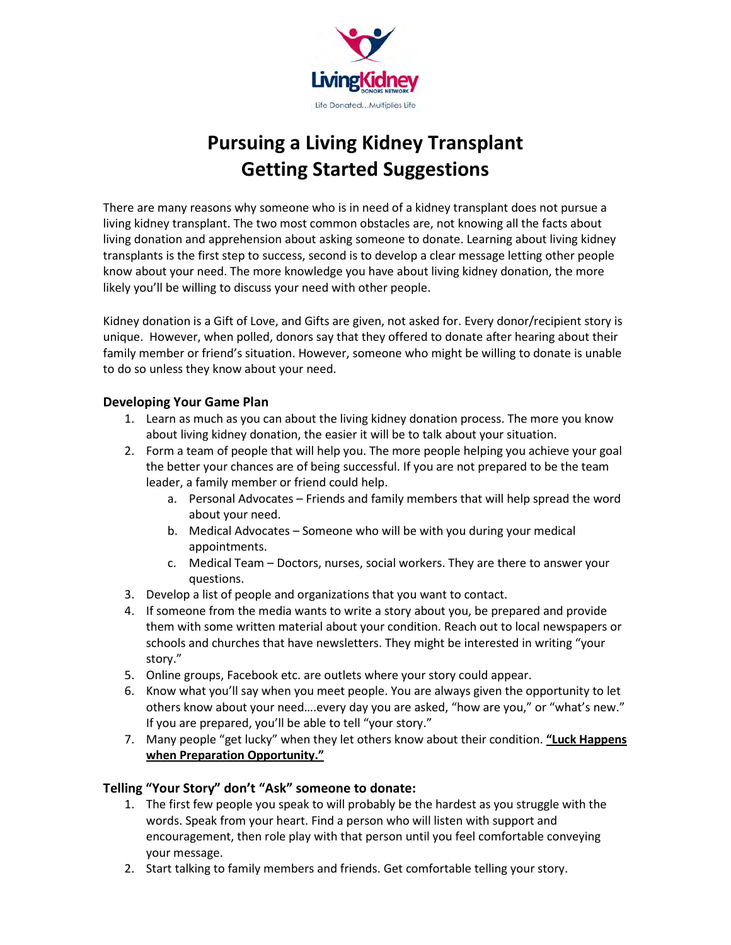

# Pursuing a Living Kidney Transplant Getting Started Suggestions

There are many reasons why someone who is in need of a kidney transplant does not pursue a living kidney transplant. The two most common obstacles are, not knowing all the facts about living donation and apprehension about asking someone to donate. Learning about living kidney transplants is the first step to success, second is to develop a clear message letting other people know about your need. The more knowledge you have about living kidney donation, the more likely you'll be willing to discuss your need with other people.

Kidney donation is a Gift of Love, and Gifts are given, not asked for. Every donor/recipient story is unique. However, when polled, donors say that they offered to donate after hearing about their family member or friend's situation. However, someone who might be willing to donate is unable to do so unless they know about your need.

## Developing Your Game Plan

- 1. Learn as much as you can about the living kidney donation process. The more you know about living kidney donation, the easier it will be to talk about your situation.
- 2. Form a team of people that will help you. The more people helping you achieve your goal the better your chances are of being successful. If you are not prepared to be the team leader, a family member or friend could help.
	- a. Personal Advocates Friends and family members that will help spread the word about your need.
	- b. Medical Advocates Someone who will be with you during your medical appointments.
	- c. Medical Team Doctors, nurses, social workers. They are there to answer your questions.
- 3. Develop a list of people and organizations that you want to contact.
- 4. If someone from the media wants to write a story about you, be prepared and provide them with some written material about your condition. Reach out to local newspapers or schools and churches that have newsletters. They might be interested in writing "your story."
- 5. Online groups, Facebook etc. are outlets where your story could appear.
- 6. Know what you'll say when you meet people. You are always given the opportunity to let others know about your need….every day you are asked, "how are you," or "what's new." If you are prepared, you'll be able to tell "your story."
- 7. Many people "get lucky" when they let others know about their condition. "Luck Happens when Preparation Opportunity."

# Telling "Your Story" don't "Ask" someone to donate:

- 1. The first few people you speak to will probably be the hardest as you struggle with the words. Speak from your heart. Find a person who will listen with support and encouragement, then role play with that person until you feel comfortable conveying your message.
- 2. Start talking to family members and friends. Get comfortable telling your story.